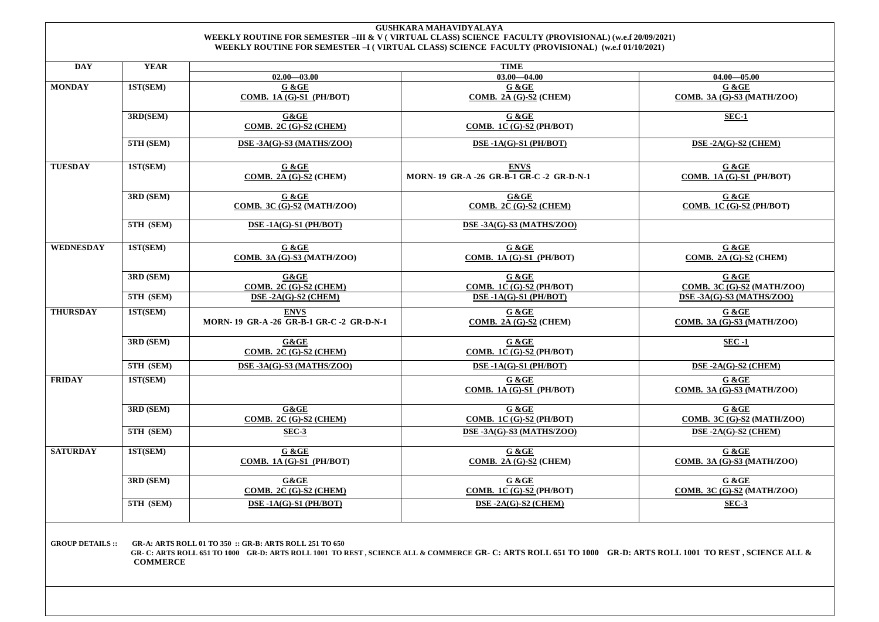## **GUSHKARA MAHAVIDYALAYA WEEKLY ROUTINE FOR SEMESTER –III & V ( VIRTUAL CLASS) SCIENCE FACULTY (PROVISIONAL) (w.e.f 20/09/2021) WEEKLY ROUTINE FOR SEMESTER –I ( VIRTUAL CLASS) SCIENCE FACULTY (PROVISIONAL) (w.e.f 01/10/2021)**

| <b>DAY</b>       | <b>YEAR</b> | <b>TIME</b>                                           |                                                       |                                                       |
|------------------|-------------|-------------------------------------------------------|-------------------------------------------------------|-------------------------------------------------------|
|                  |             | $02.00 - 03.00$                                       | $03.00 - 04.00$                                       | $04.00 - 05.00$                                       |
| <b>MONDAY</b>    | 1ST(SEM)    | $G & G \overline{E}$<br>COMB. 1A $(G)$ -S1 (PH/BOT)   | G &GE<br>COMB. 2A (G)-S2 (CHEM)                       | G & GE<br><b>COMB. 3A (G)-S3 (MATH/ZOO)</b>           |
|                  | 3RD(SEM)    | G&GE<br>COMB. $2C(G)-S2$ (CHEM)                       | G & GE<br>COMB. 1C (G)-S2 (PH/BOT)                    | $SEC-1$                                               |
|                  | 5TH (SEM)   | DSE-3A(G)-S3 (MATHS/ZOO)                              | DSE-1A(G)-S1 (PH/BOT)                                 | DSE-2A(G)-S2 (CHEM)                                   |
| <b>TUESDAY</b>   | 1ST(SEM)    | G & GE<br>COMB. 2A (G)-S2 (CHEM)                      | <b>ENVS</b><br>MORN-19 GR-A-26 GR-B-1 GR-C-2 GR-D-N-1 | G & GE<br>COMB. 1A (G)-S1 (PH/BOT)                    |
|                  | 3RD (SEM)   | G & GE<br>COMB. 3C $(\overline{G})$ -S2 (MATH/ZOO)    | G&GE<br>COMB. $2C(G)$ -S2 (CHEM)                      | G & GE<br>COMB. 1C $(G)$ -S2 $(PH/BOT)$               |
|                  | 5TH (SEM)   | DSE-1A(G)-S1 (PH/BOT)                                 | DSE-3A(G)-S3 (MATHS/ZOO)                              |                                                       |
| <b>WEDNESDAY</b> | 1ST(SEM)    | G & GE<br><b>COMB. 3A (G)-S3 (MATH/ZOO)</b>           | G &GE<br>COMB. 1A (G)-S1 (PH/BOT)                     | G & GE<br>COMB. 2A $(G)$ -S2 (CHEM)                   |
|                  | 3RD (SEM)   | $G\&GE$<br><b>COMB. 2C (G)-S2 (CHEM)</b>              | G &GE<br>COMB. 1C (G)-S2 (PH/BOT)                     | G &GE<br>COMB. 3C (G)-S2 (MATH/ZOO)                   |
|                  | 5TH (SEM)   | DSE-2A(G)-S2 (CHEM)                                   | DSE-1A(G)-S1 (PH/BOT)                                 | DSE-3A(G)-S3 (MATHS/ZOO)                              |
| <b>THURSDAY</b>  | 1ST(SEM)    | <b>ENVS</b><br>MORN-19 GR-A-26 GR-B-1 GR-C-2 GR-D-N-1 | G & GE<br>COMB. 2A $(G)$ -S2 (CHEM)                   | G & GE<br>COMB. 3A $(\overline{G})$ -S3 (MATH/ZOO)    |
|                  | 3RD (SEM)   | $G\&GE$<br>COMB. 2C $(G)$ -S2 $(CHEM)$                | G &GE<br><b>COMB. 1C (G)-S2 (PH/BOT)</b>              | $SEC -1$                                              |
|                  | 5TH (SEM)   | DSE-3A(G)-S3 (MATHS/ZOO)                              | DSE-1A(G)-S1 (PH/BOT)                                 | $DSE - 2A(G) - S2$ (CHEM)                             |
| <b>FRIDAY</b>    | 1ST(SEM)    |                                                       | G &GE<br>COMB. 1A (G)-S1 (PH/BOT)                     | G & GE<br>COMB. 3A (G)-S3 (MATH/ZOO)                  |
|                  | 3RD (SEM)   | G&GE<br>COMB. $2C(G)-S2$ (CHEM)                       | G & GE<br>COMB. 1C $(G)$ -S2 $(PH/BOT)$               | G &GE<br>COMB. 3C (G)- $\overline{S2}$ (MATH/ZOO)     |
|                  | 5TH (SEM)   | SEC-3                                                 | DSE-3A(G)-S3 (MATHS/ZOO)                              | $DSE - 2A(G) - S2$ (CHEM)                             |
| <b>SATURDAY</b>  | 1ST(SEM)    | G & G E<br>COMB. 1A $(G)$ -S1 (PH/BOT)                | $G & G \times G$<br>COMB. 2A $(G)$ -S2 (CHEM)         | $G & G \times G$<br><b>COMB. 3A (G)-S3 (MATH/ZOO)</b> |
|                  | 3RD (SEM)   | $G\&GE$<br>COMB. 2C (G)-S2 (CHEM)                     | G &GE<br>COMB. 1C $(G)$ -S2 $(PH/BOT)$                | G &GE<br><b>COMB. 3C (G)-S2 (MATH/ZOO)</b>            |
|                  | 5TH (SEM)   | DSE-1A(G)-S1 (PH/BOT)                                 | $DSE - 2A(G) - S2$ (CHEM)                             | $SEC-3$                                               |
|                  |             |                                                       |                                                       |                                                       |

**GROUP DETAILS :: GR-A: ARTS ROLL 01 TO 350 :: GR-B: ARTS ROLL 251 TO 650** 

 **GR- C: ARTS ROLL 651 TO 1000 GR-D: ARTS ROLL 1001 TO REST , SCIENCE ALL & COMMERCE GR- C: ARTS ROLL 651 TO 1000 GR-D: ARTS ROLL 1001 TO REST , SCIENCE ALL & COMMERCE**